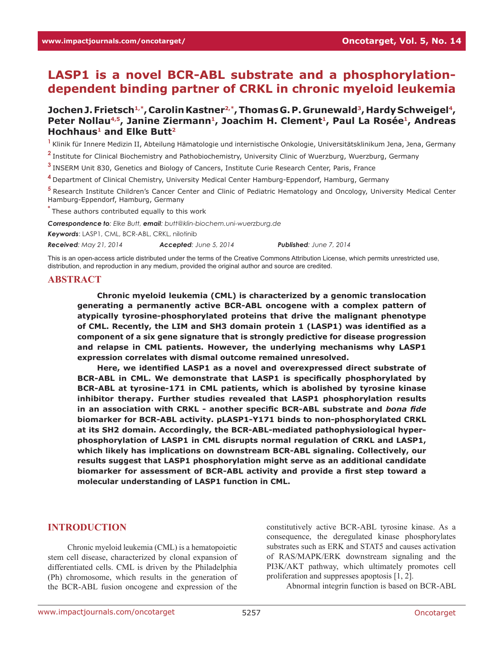# **LASP1 is a novel BCR-ABL substrate and a phosphorylationdependent binding partner of CRKL in chronic myeloid leukemia**

### Jochen J. Frietsch<sup>1,\*</sup>, Carolin Kastner<sup>2,\*</sup>, Thomas G. P. Grunewald<sup>3</sup>, Hardy Schweigel<sup>4</sup>, Peter Nollau<sup>4,5</sup>, Janine Ziermann<sup>1</sup>, Joachim H. Clement<sup>1</sup>, Paul La Rosée<sup>1</sup>, Andreas **Hochhaus1 and Elke Butt2**

**<sup>1</sup>**Klinik für Innere Medizin II, Abteilung Hämatologie und internistische Onkologie, Universitätsklinikum Jena, Jena, Germany

**<sup>2</sup>**Institute for Clinical Biochemistry and Pathobiochemistry, University Clinic of Wuerzburg, Wuerzburg, Germany

**<sup>3</sup>**INSERM Unit 830, Genetics and Biology of Cancers, Institute Curie Research Center, Paris, France

**<sup>4</sup>**Department of Clinical Chemistry, University Medical Center Hamburg-Eppendorf, Hamburg, Germany

**<sup>5</sup>**Research Institute Children's Cancer Center and Clinic of Pediatric Hematology and Oncology, University Medical Center Hamburg-Eppendorf, Hamburg, Germany

**\*** These authors contributed equally to this work

*Correspondence to: Elke Butt, email: butt@klin-biochem.uni-wuerzburg.de*

*Keywords*: LASP1, CML, BCR-ABL, CRKL, nilotinib

*Received: May 21, 2014 Accepted: June 5, 2014 Published: June 7, 2014*

This is an open-access article distributed under the terms of the Creative Commons Attribution License, which permits unrestricted use, distribution, and reproduction in any medium, provided the original author and source are credited.

#### **ABSTRACT**

**Chronic myeloid leukemia (CML) is characterized by a genomic translocation generating a permanently active BCR-ABL oncogene with a complex pattern of atypically tyrosine-phosphorylated proteins that drive the malignant phenotype of CML. Recently, the LIM and SH3 domain protein 1 (LASP1) was identified as a component of a six gene signature that is strongly predictive for disease progression and relapse in CML patients. However, the underlying mechanisms why LASP1 expression correlates with dismal outcome remained unresolved.**

**Here, we identified LASP1 as a novel and overexpressed direct substrate of BCR‑ABL in CML. We demonstrate that LASP1 is specifically phosphorylated by BCR-ABL at tyrosine-171 in CML patients, which is abolished by tyrosine kinase inhibitor therapy. Further studies revealed that LASP1 phosphorylation results in an association with CRKL - another specific BCR‑ABL substrate and** *bona fide* **biomarker for BCR-ABL activity. pLASP1-Y171 binds to non-phosphorylated CRKL at its SH2 domain. Accordingly, the BCR-ABL-mediated pathophysiological hyperphosphorylation of LASP1 in CML disrupts normal regulation of CRKL and LASP1, which likely has implications on downstream BCR-ABL signaling. Collectively, our results suggest that LASP1 phosphorylation might serve as an additional candidate biomarker for assessment of BCR‑ABL activity and provide a first step toward a molecular understanding of LASP1 function in CML.**

#### **INTRODUCTION**

Chronic myeloid leukemia (CML) is a hematopoietic stem cell disease, characterized by clonal expansion of differentiated cells. CML is driven by the Philadelphia (Ph) chromosome, which results in the generation of the BCR‑ABL fusion oncogene and expression of the

constitutively active BCR‑ABL tyrosine kinase. As a consequence, the deregulated kinase phosphorylates substrates such as ERK and STAT5 and causes activation of RAS/MAPK/ERK downstream signaling and the PI3K/AKT pathway, which ultimately promotes cell proliferation and suppresses apoptosis [1, 2].

Abnormal integrin function is based on BCR‑ABL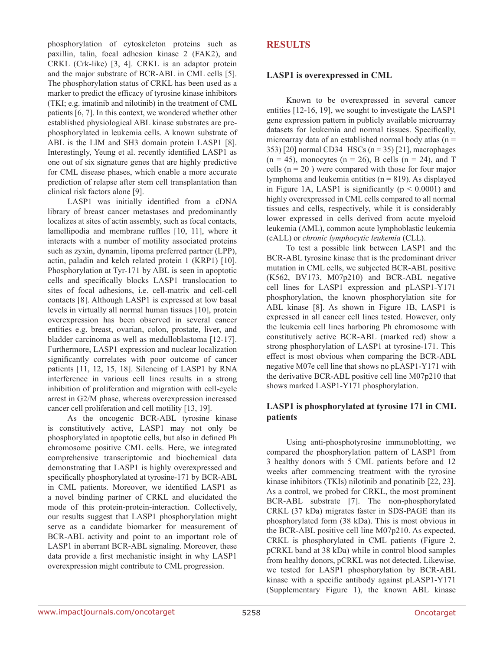phosphorylation of cytoskeleton proteins such as paxillin, talin, focal adhesion kinase 2 (FAK2), and CRKL (Crk-like) [3, 4]. CRKL is an adaptor protein and the major substrate of BCR‑ABL in CML cells [5]. The phosphorylation status of CRKL has been used as a marker to predict the efficacy of tyrosine kinase inhibitors (TKI; e.g. imatinib and nilotinib) in the treatment of CML patients [6, 7]. In this context, we wondered whether other established physiological ABL kinase substrates are prephosphorylated in leukemia cells. A known substrate of ABL is the LIM and SH3 domain protein LASP1 [8]. Interestingly, Yeung et al. recently identified LASP1 as one out of six signature genes that are highly predictive for CML disease phases, which enable a more accurate prediction of relapse after stem cell transplantation than clinical risk factors alone [9].

LASP1 was initially identified from a cDNA library of breast cancer metastases and predominantly localizes at sites of actin assembly, such as focal contacts, lamellipodia and membrane ruffles [10, 11], where it interacts with a number of motility associated proteins such as zyxin, dynamin, lipoma preferred partner (LPP), actin, paladin and kelch related protein 1 (KRP1) [10]. Phosphorylation at Tyr-171 by ABL is seen in apoptotic cells and specifically blocks LASP1 translocation to sites of focal adhesions, i.e. cell-matrix and cell-cell contacts [8]. Although LASP1 is expressed at low basal levels in virtually all normal human tissues [10], protein overexpression has been observed in several cancer entities e.g. breast, ovarian, colon, prostate, liver, and bladder carcinoma as well as medulloblastoma [12-17]. Furthermore, LASP1 expression and nuclear localization significantly correlates with poor outcome of cancer patients [11, 12, 15, 18]. Silencing of LASP1 by RNA interference in various cell lines results in a strong inhibition of proliferation and migration with cell-cycle arrest in G2/M phase, whereas overexpression increased cancer cell proliferation and cell motility [13, 19].

As the oncogenic BCR‑ABL tyrosine kinase is constitutively active, LASP1 may not only be phosphorylated in apoptotic cells, but also in defined Ph chromosome positive CML cells. Here, we integrated comprehensive transcriptomic and biochemical data demonstrating that LASP1 is highly overexpressed and specifically phosphorylated at tyrosine-171 by BCR-ABL in CML patients. Moreover, we identified LASP1 as a novel binding partner of CRKL and elucidated the mode of this protein-protein-interaction. Collectively, our results suggest that LASP1 phosphorylation might serve as a candidate biomarker for measurement of BCR-ABL activity and point to an important role of LASP1 in aberrant BCR-ABL signaling. Moreover, these data provide a first mechanistic insight in why LASP1 overexpression might contribute to CML progression.

# **RESULTS**

### **LASP1 is overexpressed in CML**

Known to be overexpressed in several cancer entities [12-16, 19], we sought to investigate the LASP1 gene expression pattern in publicly available microarray datasets for leukemia and normal tissues. Specifically, microarray data of an established normal body atlas ( $n =$ 353) [20] normal CD34<sup>+</sup> HSCs (n = 35) [21], macrophages  $(n = 45)$ , monocytes  $(n = 26)$ , B cells  $(n = 24)$ , and T cells  $(n = 20)$  were compared with those for four major lymphoma and leukemia entities ( $n = 819$ ). As displayed in Figure 1A, LASP1 is significantly  $(p < 0.0001)$  and highly overexpressed in CML cells compared to all normal tissues and cells, respectively, while it is considerably lower expressed in cells derived from acute myeloid leukemia (AML), common acute lymphoblastic leukemia (cALL) or *chronic lymphocytic leukemia* (CLL).

To test a possible link between LASP1 and the BCR-ABL tyrosine kinase that is the predominant driver mutation in CML cells, we subjected BCR‑ABL positive (K562, BV173, M07p210) and BCR‑ABL negative cell lines for LASP1 expression and pLASP1‑Y171 phosphorylation, the known phosphorylation site for ABL kinase [8]. As shown in Figure 1B, LASP1 is expressed in all cancer cell lines tested. However, only the leukemia cell lines harboring Ph chromosome with constitutively active BCR‑ABL (marked red) show a strong phosphorylation of LASP1 at tyrosine-171. This effect is most obvious when comparing the BCR‑ABL negative M07e cell line that shows no pLASP1‑Y171 with the derivative BCR‑ABL positive cell line M07p210 that shows marked LASP1-Y171 phosphorylation.

# **LASP1 is phosphorylated at tyrosine 171 in CML patients**

Using anti-phosphotyrosine immunoblotting, we compared the phosphorylation pattern of LASP1 from 3 healthy donors with 5 CML patients before and 12 weeks after commencing treatment with the tyrosine kinase inhibitors (TKIs) nilotinib and ponatinib [22, 23]. As a control, we probed for CRKL, the most prominent BCR‑ABL substrate [7]. The non-phosphorylated CRKL (37 kDa) migrates faster in SDS‑PAGE than its phosphorylated form (38 kDa). This is most obvious in the BCR‑ABL positive cell line M07p210. As expected, CRKL is phosphorylated in CML patients (Figure 2, pCRKL band at 38 kDa) while in control blood samples from healthy donors, pCRKL was not detected. Likewise, we tested for LASP1 phosphorylation by BCR-ABL kinase with a specific antibody against pLASP1-Y171 (Supplementary Figure 1), the known ABL kinase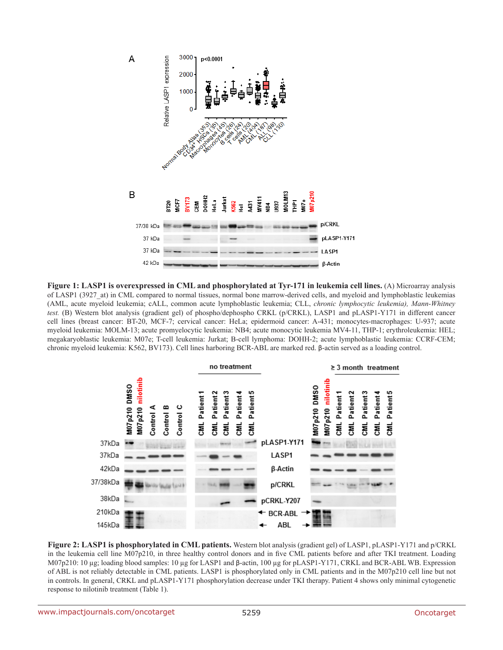

**Figure 1: LASP1 is overexpressed in CML and phosphorylated at Tyr-171 in leukemia cell lines.** (A) Microarray analysis of LASP1 (3927\_at) in CML compared to normal tissues, normal bone marrow-derived cells, and myeloid and lymphoblastic leukemias (AML, acute myeloid leukemia; cALL, common acute lymphoblastic leukemia; CLL, *chronic lymphocytic leukemia), Mann-Whitney test.* (B) Western blot analysis (gradient gel) of phospho/dephospho CRKL (p/CRKL), LASP1 and pLASP1–Y171 in different cancer cell lines (breast cancer: BT‑20, MCF‑7; cervical cancer: HeLa; epidermoid cancer: A‑431; monocytes-macrophages: U‑937; acute myeloid leukemia: MOLM-13; acute promyelocytic leukemia: NB4; acute monocytic leukemia MV4-11, THP-1; erythroleukemia: HEL; megakaryoblastic leukemia: M07e; T-cell leukemia: Jurkat; B-cell lymphoma: DOHH-2; acute lymphoblastic leukemia: CCRF-CEM; chronic myeloid leukemia: K562, BV173). Cell lines harboring BCR-ABL are marked red. β-actin served as a loading control.



**Figure 2: LASP1 is phosphorylated in CML patients.** Western blot analysis (gradient gel) of LASP1, pLASP1‑Y171 and p/CRKL in the leukemia cell line M07p210, in three healthy control donors and in five CML patients before and after TKI treatment. Loading M07p210: 10 μg; loading blood samples: 10 μg for LASP1 and β-actin, 100 μg for pLASP1-Y171, CRKL and BCR-ABL WB. Expression of ABL is not reliably detectable in CML patients. LASP1 is phosphorylated only in CML patients and in the M07p210 cell line but not in controls. In general, CRKL and pLASP1‑Y171 phosphorylation decrease under TKI therapy. Patient 4 shows only minimal cytogenetic response to nilotinib treatment (Table 1).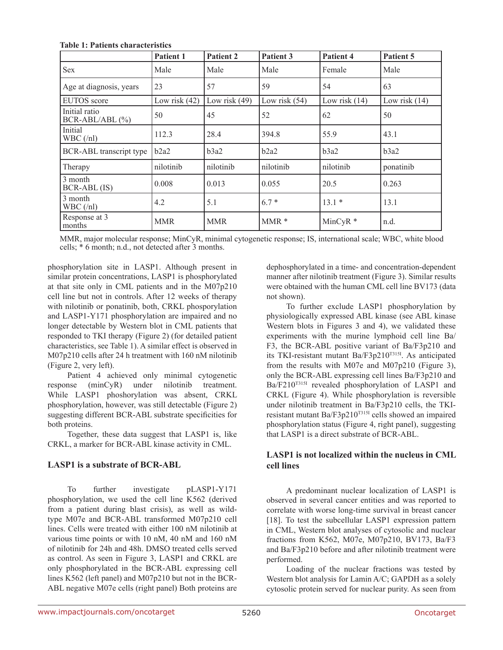**Table 1: Patients characteristics**

|                                    | Patient 1       | Patient 2       | Patient 3       | Patient 4       | Patient 5       |
|------------------------------------|-----------------|-----------------|-----------------|-----------------|-----------------|
| Sex                                | Male            | Male            | Male            | Female          | Male            |
| Age at diagnosis, years            | 23              | 57              | 59              | 54              | 63              |
| <b>EUTOS</b> score                 | Low risk $(42)$ | Low risk $(49)$ | Low risk $(54)$ | Low risk $(14)$ | Low risk $(14)$ |
| Initial ratio<br>$BCR-ABL/ABL$ (%) | 50              | 45              | 52              | 62              | 50              |
| Initial<br>WBC (n!)                | 112.3           | 28.4            | 394.8           | 55.9            | 43.1            |
| <b>BCR-ABL</b> transcript type     | b2a2            | b3a2            | b2a2            | b3a2            | b3a2            |
| Therapy                            | nilotinib       | nilotinib       | nilotinib       | nilotinib       | ponatinib       |
| 3 month<br>BCR-ABL (IS)            | 0.008           | 0.013           | 0.055           | 20.5            | 0.263           |
| 3 month<br>$WBC$ (/nl)             | 4.2             | 5.1             | $6.7*$          | $13.1*$         | 13.1            |
| Response at 3<br>months            | <b>MMR</b>      | <b>MMR</b>      | $MMR*$          | $MinCyR*$       | n.d.            |

MMR, major molecular response; MinCyR, minimal cytogenetic response; IS, international scale; WBC, white blood cells; \* 6 month; n.d., not detected after 3 months.

phosphorylation site in LASP1. Although present in similar protein concentrations, LASP1 is phosphorylated at that site only in CML patients and in the M07p210 cell line but not in controls. After 12 weeks of therapy with nilotinib or ponatinib, both, CRKL phosporylation and LASP1‑Y171 phosphorylation are impaired and no longer detectable by Western blot in CML patients that responded to TKI therapy (Figure 2) (for detailed patient characteristics, see Table 1). A similar effect is observed in M07p210 cells after 24 h treatment with 160 nM nilotinib (Figure 2, very left).

Patient 4 achieved only minimal cytogenetic response (minCyR) under nilotinib treatment. While LASP1 phoshorylation was absent, CRKL phosphorylation, however, was still detectable (Figure 2) suggesting different BCR‑ABL substrate specificities for both proteins.

Together, these data suggest that LASP1 is, like CRKL, a marker for BCR‑ABL kinase activity in CML.

# **LASP1 is a substrate of BCR‑ABL**

To further investigate pLASP1-Y171 phosphorylation, we used the cell line K562 (derived from a patient during blast crisis), as well as wildtype M07e and BCR‑ABL transformed M07p210 cell lines. Cells were treated with either 100 nM nilotinib at various time points or with 10 nM, 40 nM and 160 nM of nilotinib for 24h and 48h. DMSO treated cells served as control. As seen in Figure 3, LASP1 and CRKL are only phosphorylated in the BCR‑ABL expressing cell lines K562 (left panel) and M07p210 but not in the BCR-ABL negative M07e cells (right panel) Both proteins are

dephosphorylated in a time- and concentration-dependent manner after nilotinib treatment (Figure 3). Similar results were obtained with the human CML cell line BV173 (data not shown).

To further exclude LASP1 phosphorylation by physiologically expressed ABL kinase (see ABL kinase Western blots in Figures 3 and 4), we validated these experiments with the murine lymphoid cell line Ba/ F3, the BCR‑ABL positive variant of Ba/F3p210 and its TKI-resistant mutant Ba/F3p210T315I. As anticipated from the results with M07e and M07p210 (Figure 3), only the BCR‑ABL expressing cell lines Ba/F3p210 and Ba/F210<sup>T315I</sup> revealed phosphorylation of LASP1 and CRKL (Figure 4). While phosphorylation is reversible under nilotinib treatment in Ba/F3p210 cells, the TKIresistant mutant Ba/F3p210T315I cells showed an impaired phosphorylation status (Figure 4, right panel), suggesting that LASP1 is a direct substrate of BCR‑ABL.

### **LASP1 is not localized within the nucleus in CML cell lines**

A predominant nuclear localization of LASP1 is observed in several cancer entities and was reported to correlate with worse long-time survival in breast cancer [18]. To test the subcellular LASP1 expression pattern in CML, Western blot analyses of cytosolic and nuclear fractions from K562, M07e, M07p210, BV173, Ba/F3 and Ba/F3p210 before and after nilotinib treatment were performed.

Loading of the nuclear fractions was tested by Western blot analysis for Lamin A/C; GAPDH as a solely cytosolic protein served for nuclear purity. As seen from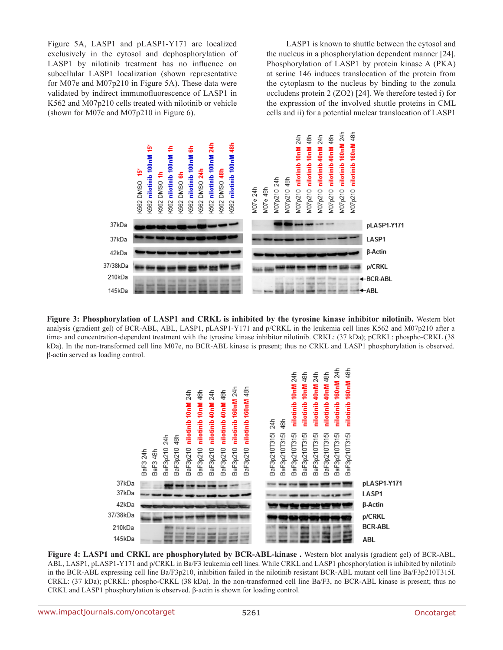Figure 5A, LASP1 and pLASP1-Y171 are localized exclusively in the cytosol and dephosphorylation of LASP1 by nilotinib treatment has no influence on subcellular LASP1 localization (shown representative for M07e and M07p210 in Figure 5A). These data were validated by indirect immunofluorescence of LASP1 in K562 and M07p210 cells treated with nilotinib or vehicle (shown for M07e and M07p210 in Figure 6).

LASP1 is known to shuttle between the cytosol and the nucleus in a phosphorylation dependent manner [24]. Phosphorylation of LASP1 by protein kinase A (PKA) at serine 146 induces translocation of the protein from the cytoplasm to the nucleus by binding to the zonula occludens protein 2 (ZO2) [24]. We therefore tested i) for the expression of the involved shuttle proteins in CML cells and ii) for a potential nuclear translocation of LASP1



**Figure 3: Phosphorylation of LASP1 and CRKL is inhibited by the tyrosine kinase inhibitor nilotinib.** Western blot analysis (gradient gel) of BCR-ABL, ABL, LASP1, pLASP1-Y171 and p/CRKL in the leukemia cell lines K562 and M07p210 after a time- and concentration-dependent treatment with the tyrosine kinase inhibitor nilotinib. CRKL: (37 kDa); pCRKL: phospho-CRKL (38 kDa). In the non-transformed cell line M07e, no BCR-ABL kinase is present; thus no CRKL and LASP1 phosphorylation is observed. β‑actin served as loading control.



**Figure 4: LASP1 and CRKL are phosphorylated by BCR-ABL-kinase.** Western blot analysis (gradient gel) of BCR-ABL, ABL, LASP1, pLASP1-Y171 and p/CRKL in Ba/F3 leukemia cell lines. While CRKL and LASP1 phosphorylation is inhibited by nilotinib in the BCR-ABL expressing cell line Ba/F3p210, inhibition failed in the nilotinib resistant BCR‑ABL mutant cell line Ba/F3p210T315I. CRKL: (37 kDa); pCRKL: phospho-CRKL (38 kDa). In the non-transformed cell line Ba/F3, no BCR‑ABL kinase is present; thus no CRKL and LASP1 phosphorylation is observed. β‑actin is shown for loading control.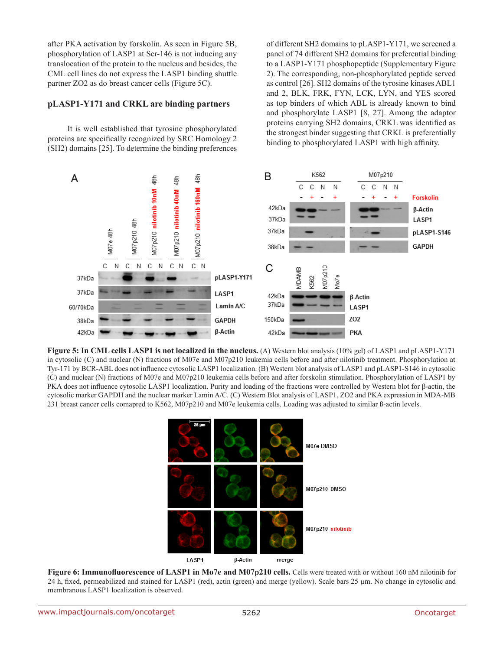after PKA activation by forskolin. As seen in Figure 5B, phosphorylation of LASP1 at Ser‑146 is not inducing any translocation of the protein to the nucleus and besides, the CML cell lines do not express the LASP1 binding shuttle partner ZO2 as do breast cancer cells (Figure 5C).

#### **pLASP1‑Y171 and CRKL are binding partners**

It is well established that tyrosine phosphorylated proteins are specifically recognized by SRC Homology 2 (SH2) domains [25]. To determine the binding preferences of different SH2 domains to pLASP1‑Y171, we screened a panel of 74 different SH2 domains for preferential binding to a LASP1-Y171 phosphopeptide (Supplementary Figure 2). The corresponding, non-phosphorylated peptide served as control [26]. SH2 domains of the tyrosine kinases ABL1 and 2, BLK, FRK, FYN, LCK, LYN, and YES scored as top binders of which ABL is already known to bind and phosphorylate LASP1 [8, 27]. Among the adaptor proteins carrying SH2 domains, CRKL was identified as the strongest binder suggesting that CRKL is preferentially binding to phosphorylated LASP1 with high affinity.



**Figure 5: In CML cells LASP1 is not localized in the nucleus.** (A) Western blot analysis (10% gel) of LASP1 and pLASP1-Y171 in cytosolic (C) and nuclear (N) fractions of M07e and M07p210 leukemia cells before and after nilotinib treatment. Phosphorylation at Tyr-171 by BCR-ABL does not influence cytosolic LASP1 localization. (B) Western blot analysis of LASP1 and pLASP1-S146 in cytosolic (C) and nuclear (N) fractions of M07e and M07p210 leukemia cells before and after forskolin stimulation. Phosphorylation of LASP1 by PKA does not influence cytosolic LASP1 localization. Purity and loading of the fractions were controlled by Western blot for β‑actin, the cytosolic marker GAPDH and the nuclear marker Lamin A/C. (C) Western Blot analysis of LASP1, ZO2 and PKA expression in MDA-MB 231 breast cancer cells comapred to K562, M07p210 and M07e leukemia cells. Loading was adjusted to similar ß-actin levels.



**Figure 6: Immunofluorescence of LASP1 in Mo7e and M07p210 cells.** Cells were treated with or without 160 nM nilotinib for 24 h, fixed, permeabilized and stained for LASP1 (red), actin (green) and merge (yellow). Scale bars 25 µm. No change in cytosolic and membranous LASP1 localization is observed.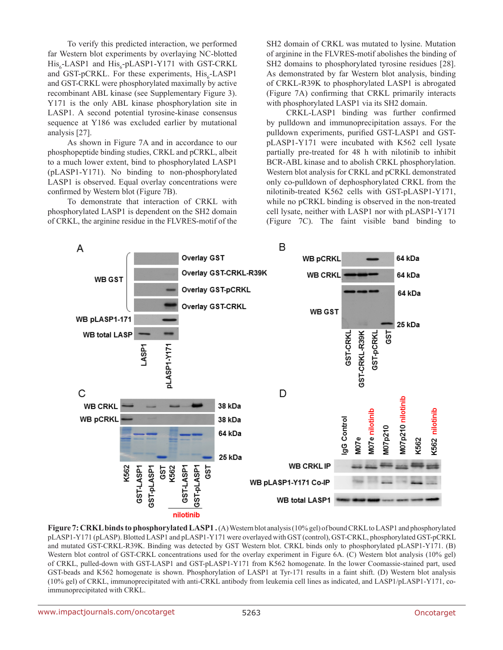To verify this predicted interaction, we performed far Western blot experiments by overlaying NC-blotted  $His_{6}$ -LASP1 and  $His_{6}$ -pLASP1-Y171 with GST-CRKL and GST-pCRKL. For these experiments,  $\text{His}_{6}$ -LASP1 and GST‑CRKL were phosphorylated maximally by active recombinant ABL kinase (see Supplementary Figure 3). Y171 is the only ABL kinase phosphorylation site in LASP1. A second potential tyrosine-kinase consensus sequence at Y186 was excluded earlier by mutational analysis [27].

As shown in Figure 7A and in accordance to our phosphopeptide binding studies, CRKL and pCRKL, albeit to a much lower extent, bind to phosphorylated LASP1 (pLASP1‑Y171). No binding to non-phosphorylated LASP1 is observed. Equal overlay concentrations were confirmed by Western blot (Figure 7B).

To demonstrate that interaction of CRKL with phosphorylated LASP1 is dependent on the SH2 domain of CRKL, the arginine residue in the FLVRES‑motif of the SH2 domain of CRKL was mutated to lysine. Mutation of arginine in the FLVRES‑motif abolishes the binding of SH2 domains to phosphorylated tyrosine residues [28]. As demonstrated by far Western blot analysis, binding of CRKL‑R39K to phosphorylated LASP1 is abrogated (Figure 7A) confirming that CRKL primarily interacts with phosphorylated LASP1 via its SH2 domain.

CRKL‑LASP1 binding was further confirmed by pulldown and immunoprecipitation assays. For the pulldown experiments, purified GST-LASP1 and GSTpLASP1‑Y171 were incubated with K562 cell lysate partially pre-treated for 48 h with nilotinib to inhibit BCR-ABL kinase and to abolish CRKL phosphorylation. Western blot analysis for CRKL and pCRKL demonstrated only co-pulldown of dephosphorylated CRKL from the nilotinib-treated K562 cells with GST-pLASP1-Y171, while no pCRKL binding is observed in the non-treated cell lysate, neither with LASP1 nor with pLASP1‑Y171 (Figure 7C). The faint visible band binding to



**Figure 7: CRKL binds to phosphorylated LASP1 .** (A) Western blot analysis (10% gel) of bound CRKL to LASP1 and phosphorylated pLASP1-Y171 (pLASP). Blotted LASP1 and pLASP1-Y171 were overlayed with GST (control), GST-CRKL, phosphorylated GST-pCRKL and mutated GST-CRKL-R39K. Binding was detected by GST Western blot. CRKL binds only to phosphorylated pLASP1-Y171. (B) Western blot control of GST-CRKL concentrations used for the overlay experiment in Figure 6A. (C) Western blot analysis (10% gel) of CRKL, pulled-down with GST‑LASP1 and GST‑pLASP1‑Y171 from K562 homogenate. In the lower Coomassie-stained part, used GST-beads and K562 homogenate is shown. Phosphorylation of LASP1 at Tyr-171 results in a faint shift. (D) Western blot analysis (10% gel) of CRKL, immunoprecipitated with anti-CRKL antibody from leukemia cell lines as indicated, and LASP1/pLASP1‑Y171, coimmunoprecipitated with CRKL.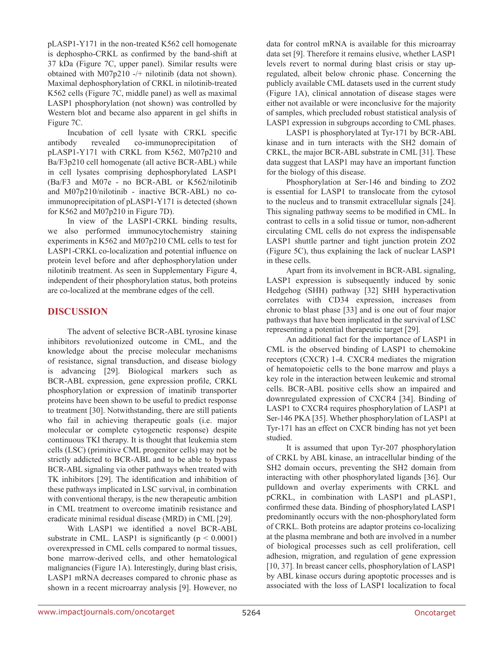pLASP1‑Y171 in the non-treated K562 cell homogenate is dephospho-CRKL as confirmed by the band-shift at 37 kDa (Figure 7C, upper panel). Similar results were obtained with M07p210 ‑/+ nilotinib (data not shown). Maximal dephosphorylation of CRKL in nilotinib-treated K562 cells (Figure 7C, middle panel) as well as maximal LASP1 phosphorylation (not shown) was controlled by Western blot and became also apparent in gel shifts in Figure 7C.

Incubation of cell lysate with CRKL specific antibody revealed co-immunoprecipitation of pLASP1‑Y171 with CRKL from K562, M07p210 and Ba/F3p210 cell homogenate (all active BCR-ABL) while in cell lysates comprising dephosphorylated LASP1 (Ba/F3 and M07e - no BCR‑ABL or K562/nilotinib and M07p210/nilotinib - inactive BCR‑ABL) no coimmunoprecipitation of pLASP1-Y171 is detected (shown for K562 and M07p210 in Figure 7D).

In view of the LASP1-CRKL binding results, we also performed immunocytochemistry staining experiments in K562 and M07p210 CML cells to test for LASP1–CRKL co-localization and potential influence on protein level before and after dephosphorylation under nilotinib treatment. As seen in Supplementary Figure 4, independent of their phosphorylation status, both proteins are co-localized at the membrane edges of the cell.

### **DISCUSSION**

The advent of selective BCR‑ABL tyrosine kinase inhibitors revolutionized outcome in CML, and the knowledge about the precise molecular mechanisms of resistance, signal transduction, and disease biology is advancing [29]. Biological markers such as BCR‑ABL expression, gene expression profile, CRKL phosphorylation or expression of imatinib transporter proteins have been shown to be useful to predict response to treatment [30]. Notwithstanding, there are still patients who fail in achieving therapeutic goals (i.e. major molecular or complete cytogenetic response) despite continuous TKI therapy. It is thought that leukemia stem cells (LSC) (primitive CML progenitor cells) may not be strictly addicted to BCR‑ABL and to be able to bypass BCR-ABL signaling via other pathways when treated with TK inhibitors [29]. The identification and inhibition of these pathways implicated in LSC survival, in combination with conventional therapy, is the new therapeutic ambition in CML treatment to overcome imatinib resistance and eradicate minimal residual disease (MRD) in CML [29].

With LASP1 we identified a novel BCR-ABL substrate in CML. LASP1 is significantly ( $p \le 0.0001$ ) overexpressed in CML cells compared to normal tissues, bone marrow-derived cells, and other hematological malignancies (Figure 1A). Interestingly, during blast crisis, LASP1 mRNA decreases compared to chronic phase as shown in a recent microarray analysis [9]. However, no data for control mRNA is available for this microarray data set [9]. Therefore it remains elusive, whether LASP1 levels revert to normal during blast crisis or stay upregulated, albeit below chronic phase. Concerning the publicly available CML datasets used in the current study (Figure 1A), clinical annotation of disease stages were either not available or were inconclusive for the majority of samples, which precluded robust statistical analysis of LASP1 expression in subgroups according to CML phases.

LASP1 is phosphorylated at Tyr-171 by BCR-ABL kinase and in turn interacts with the SH2 domain of CRKL, the major BCR-ABL substrate in CML [31]. These data suggest that LASP1 may have an important function for the biology of this disease.

Phosphorylation at Ser-146 and binding to ZO2 is essential for LASP1 to translocate from the cytosol to the nucleus and to transmit extracellular signals [24]. This signaling pathway seems to be modified in CML. In contrast to cells in a solid tissue or tumor, non-adherent circulating CML cells do not express the indispensable LASP1 shuttle partner and tight junction protein ZO2 (Figure 5C), thus explaining the lack of nuclear LASP1 in these cells.

Apart from its involvement in BCR-ABL signaling, LASP1 expression is subsequently induced by sonic Hedgehog (SHH) pathway [32] SHH hyperactivation correlates with CD34 expression, increases from chronic to blast phase [33] and is one out of four major pathways that have been implicated in the survival of LSC representing a potential therapeutic target [29].

An additional fact for the importance of LASP1 in CML is the observed binding of LASP1 to chemokine receptors (CXCR) 1-4. CXCR4 mediates the migration of hematopoietic cells to the bone marrow and plays a key role in the interaction between leukemic and stromal cells. BCR‑ABL positive cells show an impaired and downregulated expression of CXCR4 [34]. Binding of LASP1 to CXCR4 requires phosphorylation of LASP1 at Ser-146 PKA [35]. Whether phosphorylation of LASP1 at Tyr‑171 has an effect on CXCR binding has not yet been studied.

It is assumed that upon Tyr-207 phosphorylation of CRKL by ABL kinase, an intracellular binding of the SH2 domain occurs, preventing the SH2 domain from interacting with other phosphorylated ligands [36]. Our pulldown and overlay experiments with CRKL and pCRKL, in combination with LASP1 and pLASP1, confirmed these data. Binding of phosphorylated LASP1 predominantly occurs with the non-phosphorylated form of CRKL. Both proteins are adaptor proteins co-localizing at the plasma membrane and both are involved in a number of biological processes such as cell proliferation, cell adhesion, migration, and regulation of gene expression [10, 37]. In breast cancer cells, phosphorylation of LASP1 by ABL kinase occurs during apoptotic processes and is associated with the loss of LASP1 localization to focal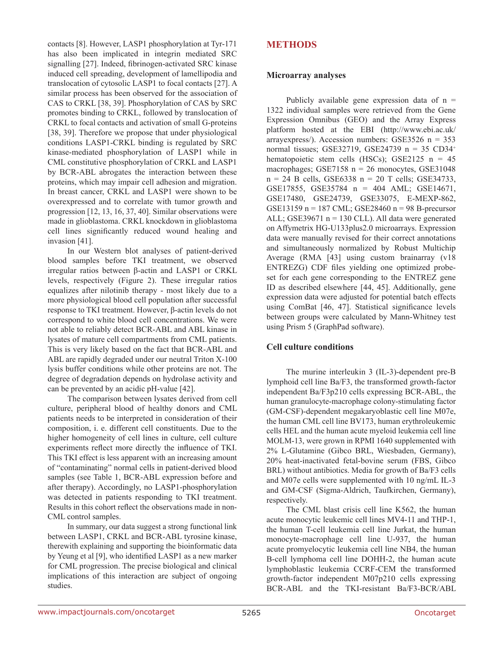contacts [8]. However, LASP1 phosphorylation at Tyr-171 has also been implicated in integrin mediated SRC signalling [27]. Indeed, fibrinogen-activated SRC kinase induced cell spreading, development of lamellipodia and translocation of cytosolic LASP1 to focal contacts [27]. A similar process has been observed for the association of CAS to CRKL [38, 39]. Phosphorylation of CAS by SRC promotes binding to CRKL, followed by translocation of CRKL to focal contacts and activation of small G‑proteins [38, 39]. Therefore we propose that under physiological conditions LASP1-CRKL binding is regulated by SRC kinase-mediated phosphorylation of LASP1 while in CML constitutive phosphorylation of CRKL and LASP1 by BCR-ABL abrogates the interaction between these proteins, which may impair cell adhesion and migration. In breast cancer, CRKL and LASP1 were shown to be overexpressed and to correlate with tumor growth and progression [12, 13, 16, 37, 40]. Similar observations were made in glioblastoma. CRKL knockdown in glioblastoma cell lines significantly reduced wound healing and invasion [41].

In our Western blot analyses of patient-derived blood samples before TKI treatment, we observed irregular ratios between β‑actin and LASP1 or CRKL levels, respectively (Figure 2). These irregular ratios equalizes after nilotinib therapy ‑ most likely due to a more physiological blood cell population after successful response to TKI treatment. However, β‑actin levels do not correspond to white blood cell concentrations. We were not able to reliably detect BCR‑ABL and ABL kinase in lysates of mature cell compartments from CML patients. This is very likely based on the fact that BCR‑ABL and ABL are rapidly degraded under our neutral Triton X-100 lysis buffer conditions while other proteins are not. The degree of degradation depends on hydrolase activity and can be prevented by an acidic pH-value [42].

The comparison between lysates derived from cell culture, peripheral blood of healthy donors and CML patients needs to be interpreted in consideration of their composition, i. e. different cell constituents. Due to the higher homogeneity of cell lines in culture, cell culture experiments reflect more directly the influence of TKI. This TKI effect is less apparent with an increasing amount of "contaminating" normal cells in patient-derived blood samples (see Table 1, BCR-ABL expression before and after therapy). Accordingly, no LASP1-phosphorylation was detected in patients responding to TKI treatment. Results in this cohort reflect the observations made in non-CML control samples.

In summary, our data suggest a strong functional link between LASP1, CRKL and BCR‑ABL tyrosine kinase, therewith explaining and supporting the bioinformatic data by Yeung et al [9], who identified LASP1 as a new marker for CML progression. The precise biological and clinical implications of this interaction are subject of ongoing studies.

# **METHODS**

#### **Microarray analyses**

Publicly available gene expression data of  $n =$ 1322 individual samples were retrieved from the Gene Expression Omnibus (GEO) and the Array Express platform hosted at the EBI (http://www.ebi.ac.uk/ arrayexpress/). Accession numbers: GSE3526 n = 353 normal tissues; GSE32719, GSE24739 n = 35 CD34<sup>+</sup> hematopoietic stem cells (HSCs); GSE2125  $n = 45$ macrophages; GSE7158  $n = 26$  monocytes, GSE31048  $n = 24$  B cells, GSE6338  $n = 20$  T cells; GSE34733, GSE17855, GSE35784 n = 404 AML; GSE14671, GSE17480, GSE24739, GSE33075, E-MEXP-862, GSE13159 n = 187 CML; GSE28460 n = 98 B-precursor ALL; GSE39671  $n = 130$  CLL). All data were generated on Affymetrix HG-U133plus2.0 microarrays. Expression data were manually revised for their correct annotations and simultaneously normalized by Robust Multichip Average (RMA [43] using custom brainarray (v18 ENTREZG) CDF files yielding one optimized probeset for each gene corresponding to the ENTREZ gene ID as described elsewhere [44, 45]. Additionally, gene expression data were adjusted for potential batch effects using ComBat [46, 47]. Statistical significance levels between groups were calculated by Mann-Whitney test using Prism 5 (GraphPad software).

# **Cell culture conditions**

The murine interleukin 3 (IL–3)-dependent pre-B lymphoid cell line Ba/F3, the transformed growth-factor independent Ba/F3p210 cells expressing BCR‑ABL, the human granulocyte-macrophage colony-stimulating factor (GM‑CSF)-dependent megakaryoblastic cell line M07e, the human CML cell line BV173, human erythroleukemic cells HEL and the human acute myeloid leukemia cell line MOLM‑13, were grown in RPMI 1640 supplemented with 2% L‑Glutamine (Gibco BRL, Wiesbaden, Germany), 20% heat-inactivated fetal-bovine serum (FBS, Gibco BRL) without antibiotics. Media for growth of Ba/F3 cells and M07e cells were supplemented with 10 ng/mL IL‑3 and GM‑CSF (Sigma-Aldrich, Taufkirchen, Germany), respectively.

The CML blast crisis cell line K562, the human acute monocytic leukemic cell lines MV4‑11 and THP‑1, the human T-cell leukemia cell line Jurkat, the human monocyte-macrophage cell line U-937, the human acute promyelocytic leukemia cell line NB4, the human B-cell lymphoma cell line DOHH-2, the human acute lymphoblastic leukemia CCRF‑CEM the transformed growth-factor independent M07p210 cells expressing BCR-ABL and the TKI-resistant Ba/F3‑BCR/ABL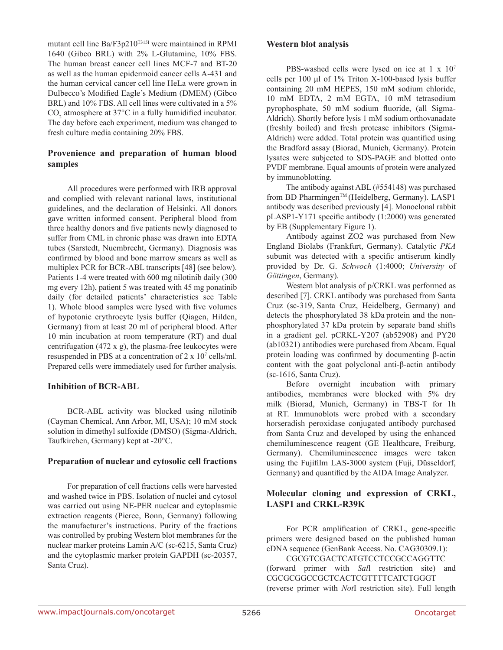mutant cell line Ba/F3p210T315I were maintained in RPMI 1640 (Gibco BRL) with 2% L‑Glutamine, 10% FBS. The human breast cancer cell lines MCF-7 and BT-20 as well as the human epidermoid cancer cells A‑431 and the human cervical cancer cell line HeLa were grown in Dulbecco's Modified Eagle's Medium (DMEM) (Gibco BRL) and 10% FBS. All cell lines were cultivated in a 5%  $CO<sub>2</sub>$  atmosphere at 37°C in a fully humidified incubator. The day before each experiment, medium was changed to fresh culture media containing 20% FBS.

# **Provenience and preparation of human blood samples**

All procedures were performed with IRB approval and complied with relevant national laws, institutional guidelines, and the declaration of Helsinki. All donors gave written informed consent. Peripheral blood from three healthy donors and five patients newly diagnosed to suffer from CML in chronic phase was drawn into EDTA tubes (Sarstedt, Nuembrecht, Germany). Diagnosis was confirmed by blood and bone marrow smears as well as multiplex PCR for BCR-ABL transcripts [48] (see below). Patients 1-4 were treated with 600 mg nilotinib daily (300) mg every 12h), patient 5 was treated with 45 mg ponatinib daily (for detailed patients' characteristics see Table 1). Whole blood samples were lysed with five volumes of hypotonic erythrocyte lysis buffer (Qiagen, Hilden, Germany) from at least 20 ml of peripheral blood. After 10 min incubation at room temperature (RT) and dual centrifugation (472 x g), the plasma-free leukocytes were resuspended in PBS at a concentration of 2 x 10<sup>7</sup> cells/ml. Prepared cells were immediately used for further analysis.

# **Inhibition of BCR‑ABL**

BCR‑ABL activity was blocked using nilotinib (Cayman Chemical, Ann Arbor, MI, USA); 10 mM stock solution in dimethyl sulfoxide (DMSO) (Sigma-Aldrich, Taufkirchen, Germany) kept at -20°C.

#### **Preparation of nuclear and cytosolic cell fractions**

For preparation of cell fractions cells were harvested and washed twice in PBS. Isolation of nuclei and cytosol was carried out using NE-PER nuclear and cytoplasmic extraction reagents (Pierce, Bonn, Germany) following the manufacturer's instructions. Purity of the fractions was controlled by probing Western blot membranes for the nuclear marker proteins Lamin A/C (sc-6215, Santa Cruz) and the cytoplasmic marker protein GAPDH (sc‑20357, Santa Cruz).

#### **Western blot analysis**

PBS-washed cells were lysed on ice at 1 x  $10<sup>7</sup>$ cells per 100 μl of 1% Triton X‑100-based lysis buffer containing 20 mM HEPES, 150 mM sodium chloride, 10 mM EDTA, 2 mM EGTA, 10 mM tetrasodium pyrophosphate, 50 mM sodium fluoride, (all Sigma-Aldrich). Shortly before lysis 1 mM sodium orthovanadate (freshly boiled) and fresh protease inhibitors (Sigma-Aldrich) were added. Total protein was quantified using the Bradford assay (Biorad, Munich, Germany). Protein lysates were subjected to SDS-PAGE and blotted onto PVDF membrane. Equal amounts of protein were analyzed by immunoblotting.

The antibody against ABL (#554148) was purchased from BD Pharmingen™ (Heidelberg, Germany). LASP1 antibody was described previously [4]. Monoclonal rabbit pLASP1‑Y171 specific antibody (1:2000) was generated by EB (Supplementary Figure 1).

Antibody against ZO2 was purchased from New England Biolabs (Frankfurt, Germany). Catalytic *PKA* subunit was detected with a specific antiserum kindly provided by Dr. G. *Schwoch* (1:4000; *University* of *Göttingen*, Germany).

Western blot analysis of p/CRKL was performed as described [7]. CRKL antibody was purchased from Santa Cruz (sc-319, Santa Cruz, Heidelberg, Germany) and detects the phosphorylated 38 kDa protein and the nonphosphorylated 37 kDa protein by separate band shifts in a gradient gel. pCRKL-Y207 (ab52908) and PY20 (ab10321) antibodies were purchased from Abcam. Equal protein loading was confirmed by documenting β-actin content with the goat polyclonal anti-β-actin antibody (sc‑1616, Santa Cruz).

Before overnight incubation with primary antibodies, membranes were blocked with 5% dry milk (Biorad, Munich, Germany) in TBS-T for 1h at RT. Immunoblots were probed with a secondary horseradish peroxidase conjugated antibody purchased from Santa Cruz and developed by using the enhanced chemiluminescence reagent (GE Healthcare, Freiburg, Germany). Chemiluminescence images were taken using the Fujifilm LAS‑3000 system (Fuji, Düsseldorf, Germany) and quantified by the AIDA Image Analyzer.

# **Molecular cloning and expression of CRKL, LASP1 and CRKL‑R39K**

For PCR amplification of CRKL, gene-specific primers were designed based on the published human cDNA sequence (GenBank Access. No. CAG30309.1):

CGCGTCGACTCATGTCCTCCGCCAGGTTC (forward primer with *Sal*l restriction site) and CGCGCGGCCGCTCACTCGTTTTCATCTGGGT (reverse primer with *Not*I restriction site). Full length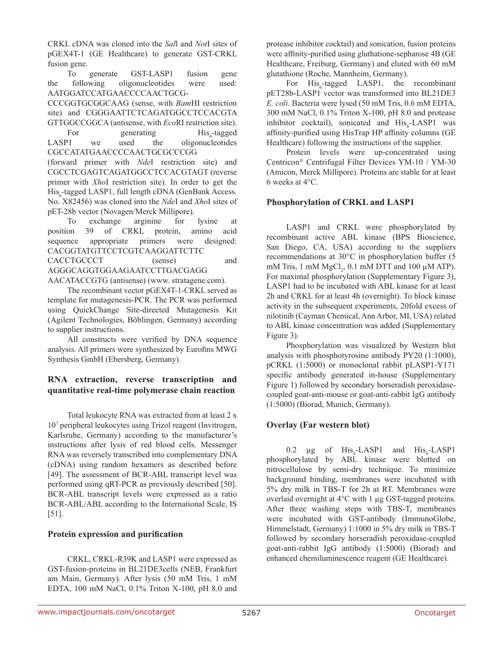CRKL cDNA was cloned into the *Sal*l and *Not*I sites of pGEX4T-1 (GE Healthcare) to generate GST-CRKL fusion gene.

To generate GST-LASP1 fusion gene the following oligonucleotides were used: AATGGATCCATGAACCCCAACTGCG-

CCCGGTGCGGCAAG (sense, with *Bam*HI restriction site) and CGGGAATTCTCAGATGGCCTCCACGTA GTTGGCCGGCA (antisense, with *Eco*RI restriction site).

For generating<br>LASP1 we used the  $His_{c}$ -tagged oligonucleotides CGCCATATGAACCCCAACTGCGCCCGG

(forward primer with *Nde*I restriction site) and CGCCTCGAGTCAGATGGCCTCCACGTAGT (reverse primer with *Xho*I restriction site). In order to get the His<sub>6</sub>-tagged LASP1, full length cDNA (GenBank Access. No. X82456) was cloned into the *Nde*I and *Xho*I sites of pET‑28b vector (Novagen/Merck Millipore).

To exchange arginine for lysine at position 39 of CRKL protein, amino acid sequence appropriate primers were designed: CACGGTATGTTCCTCGTCAAGGATTCTTC CACCTGCCCT (sense) and AGGGCAGGTGGAAGAATCCTTGACGAGG AACATACCGTG (antisense) (www. stratagene.com).

The recombinant vector pGEX4T-1-CRKL served as template for mutagenesis‑PCR. The PCR was performed using QuickChange Site-directed Mutagenesis Kit (Agilent Technologies, Böblingen, Germany) according to supplier instructions.

All constructs were verified by DNA sequence analysis. All primers were synthesized by Eurofins MWG Synthesis GmbH (Ebersberg, Germany).

# **RNA extraction, reverse transcription and quantitative real-time polymerase chain reaction**

Total leukocyte RNA was extracted from at least 2 x 10<sup>7</sup> peripheral leukocytes using Trizol reagent (Invitrogen, Karlsruhe, Germany) according to the manufacturer's instructions after lysis of red blood cells. Messenger RNA was reversely transcribed into complementary DNA (cDNA) using random hexamers as described before [49]. The assessment of BCR-ABL transcript level was performed using qRT‑PCR as previously described [50]. BCR‑ABL transcript levels were expressed as a ratio BCR‑ABL/ABL according to the International Scale, IS [51].

# **Protein expression and purification**

CRKL, CRKL‑R39K and LASP1 were expressed as GST-fusion-proteins in BL21DE3cells (NEB, Frankfurt am Main, Germany). After lysis (50 mM Tris, 1 mM EDTA, 100 mM NaCl, 0.1% Triton X-100, pH 8.0 and protease inhibitor cocktail) and sonication, fusion proteins were affinity-purified using gluthatione-sepharose 4B (GE Healthcare, Freiburg, Germany) and eluted with 60 mM glutathione (Roche, Mannheim, Germany).

For His<sub>6</sub>-tagged LASP1, the recombinant pET28b‑LASP1 vector was transformed into BL21DE3 *E. coli*. Bacteria were lysed (50 mM Tris, 0.6 mM EDTA, 300 mM NaCl, 0.1% Triton X‑100, pH 8.0 and protease inhibitor cocktail), sonicated and  $His<sub>6</sub>-LASP1$  was affinity-purified using HisTrap HP affinity columns (GE Healthcare) following the instructions of the supplier.

Protein levels were up-concentrated using Centricon® Centrifugal Filter Devices YM‑10 / YM-30 (Amicon, Merck Millipore). Proteins are stable for at least 6 weeks at 4°C.

# **Phosphorylation of CRKL and LASP1**

LASP1 and CRKL were phosphorylated by recombinant active ABL kinase (BPS Bioscience, San Diego, CA, USA) according to the suppliers recommendations at 30°C in phosphorylation buffer (5 mM Tris, 1 mM  $MgCl_2$ , 0.1 mM DTT and 100  $\mu$ M ATP). For maximal phosphorylation (Supplementary Figure 3), LASP1 had to be incubated with ABL kinase for at least 2h and CRKL for at least 4h (overnight). To block kinase activity in the subsequent experiments, 20fold excess of nilotinib (Cayman Chemical, Ann Arbor, MI, USA) related to ABL kinase concentration was added (Supplementary Figure 3).

Phosphorylation was visualized by Western blot analysis with phosphotyrosine antibody PY20 (1:1000), pCRKL (1:5000) or monoclonal rabbit pLASP1-Y171 specific antibody generated in-house (Supplementary Figure 1) followed by secondary horseradish peroxidasecoupled goat-anti-mouse or goat-anti-rabbit IgG antibody (1:5000) (Biorad, Munich, Germany).

# **Overlay (Far western blot)**

0.2  $\mu$ g of His<sub>6</sub>-LASP1  $-LASP1$  and  $His<sub>6</sub>-LASP1$ phosphorylated by ABL kinase were blotted on nitrocellulose by semi-dry technique. To minimize background binding, membranes were incubated with 5% dry milk in TBS‑T for 2h at RT. Membranes were overlaid overnight at 4°C with 1 µg GST-tagged proteins. After three washing steps with TBS‑T, membranes were incubated with GST-antibody (ImmunoGlobe, Himmelstadt, Germany) 1:1000 in 5% dry milk in TBS-T followed by secondary horseradish peroxidase-coupled goat-anti-rabbit IgG antibody (1:5000) (Biorad) and enhanced chemiluminescence reagent (GE Healthcare).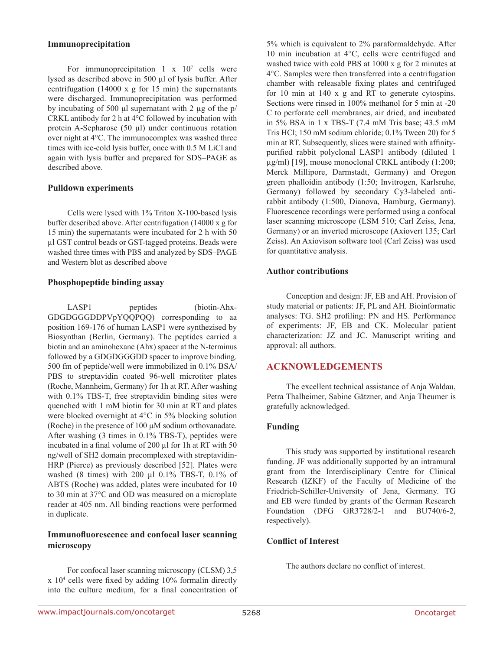#### **Immunoprecipitation**

For immunoprecipitation  $1 \times 10^7$  cells were lysed as described above in 500 μl of lysis buffer. After centrifugation (14000 x g for 15 min) the supernatants were discharged. Immunoprecipitation was performed by incubating of 500 μl supernatant with 2 µg of the p/ CRKL antibody for 2 h at 4°C followed by incubation with protein A-Sepharose (50 µl) under continuous rotation over night at 4°C. The immunocomplex was washed three times with ice-cold lysis buffer, once with 0.5 M LiCl and again with lysis buffer and prepared for SDS–PAGE as described above.

#### **Pulldown experiments**

Cells were lysed with 1% Triton X‑100-based lysis buffer described above. After centrifugation (14000 x g for 15 min) the supernatants were incubated for 2 h with 50 µl GST control beads or GST‑tagged proteins. Beads were washed three times with PBS and analyzed by SDS–PAGE and Western blot as described above

#### **Phosphopeptide binding assay**

LASP1 peptides (biotin-Ahx-GDGDGGGDDPVpYQQPQQ) corresponding to aa position 169-176 of human LASP1 were synthezised by Biosynthan (Berlin, Germany). The peptides carried a biotin and an aminohexane (Ahx) spacer at the N-terminus followed by a GDGDGGGDD spacer to improve binding. 500 fm of peptide/well were immobilized in 0.1% BSA/ PBS to streptavidin coated 96-well microtiter plates (Roche, Mannheim, Germany) for 1h at RT. After washing with  $0.1\%$  TBS-T, free streptavidin binding sites were quenched with 1 mM biotin for 30 min at RT and plates were blocked overnight at 4°C in 5% blocking solution (Roche) in the presence of 100 µM sodium orthovanadate. After washing (3 times in 0.1% TBS‑T), peptides were incubated in a final volume of 200 µl for 1h at RT with 50 ng/well of SH2 domain precomplexed with streptavidin-HRP (Pierce) as previously described [52]. Plates were washed (8 times) with 200 µl 0.1% TBS‑T, 0.1% of ABTS (Roche) was added, plates were incubated for 10 to 30 min at 37°C and OD was measured on a microplate reader at 405 nm. All binding reactions were performed in duplicate.

### **Immunofluorescence and confocal laser scanning microscopy**

For confocal laser scanning microscopy (CLSM) 3,5 x 10<sup>4</sup> cells were fixed by adding 10% formalin directly into the culture medium, for a final concentration of

5% which is equivalent to 2% paraformaldehyde. After 10 min incubation at 4°C, cells were centrifuged and washed twice with cold PBS at 1000 x g for 2 minutes at 4°C. Samples were then transferred into a centrifugation chamber with releasable fixing plates and centrifuged for 10 min at 140 x g and RT to generate cytospins. Sections were rinsed in 100% methanol for 5 min at -20 C to perforate cell membranes, air dried, and incubated in 5% BSA in 1 x TBS‑T (7.4 mM Tris base; 43.5 mM Tris HCl; 150 mM sodium chloride; 0.1% Tween 20) for 5 min at RT. Subsequently, slices were stained with affinitypurified rabbit polyclonal LASP1 antibody (diluted 1 µg/ml) [19], mouse monoclonal CRKL antibody (1:200; Merck Millipore, Darmstadt, Germany) and Oregon green phalloidin antibody (1:50; Invitrogen, Karlsruhe, Germany) followed by secondary Cy3-labeled antirabbit antibody (1:500, Dianova, Hamburg, Germany). Fluorescence recordings were performed using a confocal laser scanning microscope (LSM 510; Carl Zeiss, Jena, Germany) or an inverted microscope (Axiovert 135; Carl Zeiss). An Axiovison software tool (Carl Zeiss) was used for quantitative analysis.

### **Author contributions**

Conception and design: JF, EB and AH. Provision of study material or patients: JF, PL and AH. Bioinformatic analyses: TG. SH2 profiling: PN and HS. Performance of experiments: JF, EB and CK. Molecular patient characterization: JZ and JC. Manuscript writing and approval: all authors.

# **ACKNOWLEDGEMENTS**

The excellent technical assistance of Anja Waldau, Petra Thalheimer, Sabine Gätzner, and Anja Theumer is gratefully acknowledged.

# **Funding**

This study was supported by institutional research funding. JF was additionally supported by an intramural grant from the Interdisciplinary Centre for Clinical Research (IZKF) of the Faculty of Medicine of the Friedrich-Schiller-University of Jena, Germany. TG and EB were funded by grants of the German Research Foundation (DFG GR3728/2-1 and BU740/6-2, respectively).

#### **Conflict of Interest**

The authors declare no conflict of interest.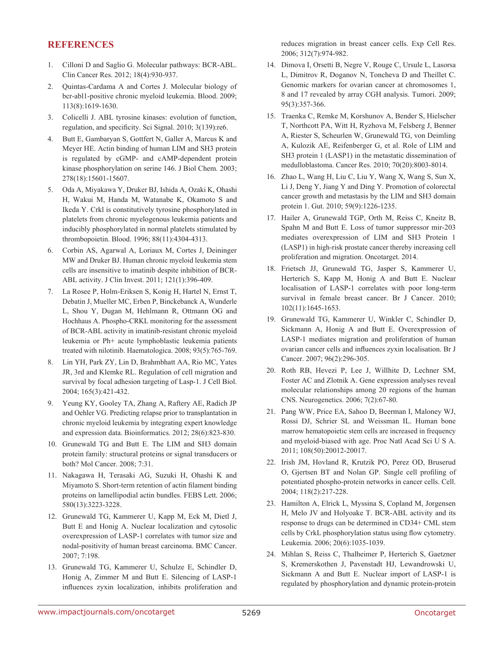### **REFERENCES**

- 1. Cilloni D and Saglio G. Molecular pathways: BCR-ABL. Clin Cancer Res. 2012; 18(4):930-937.
- 2. Quintas-Cardama A and Cortes J. Molecular biology of bcr-abl1-positive chronic myeloid leukemia. Blood. 2009; 113(8):1619-1630.
- 3. Colicelli J. ABL tyrosine kinases: evolution of function, regulation, and specificity. Sci Signal. 2010; 3(139):re6.
- 4. Butt E, Gambaryan S, Gottfert N, Galler A, Marcus K and Meyer HE. Actin binding of human LIM and SH3 protein is regulated by cGMP- and cAMP-dependent protein kinase phosphorylation on serine 146. J Biol Chem. 2003; 278(18):15601-15607.
- 5. Oda A, Miyakawa Y, Druker BJ, Ishida A, Ozaki K, Ohashi H, Wakui M, Handa M, Watanabe K, Okamoto S and Ikeda Y. Crkl is constitutively tyrosine phosphorylated in platelets from chronic myelogenous leukemia patients and inducibly phosphorylated in normal platelets stimulated by thrombopoietin. Blood. 1996; 88(11):4304-4313.
- 6. Corbin AS, Agarwal A, Loriaux M, Cortes J, Deininger MW and Druker BJ. Human chronic myeloid leukemia stem cells are insensitive to imatinib despite inhibition of BCR-ABL activity. J Clin Invest. 2011; 121(1):396-409.
- 7. La Rosee P, Holm-Eriksen S, Konig H, Hartel N, Ernst T, Debatin J, Mueller MC, Erben P, Binckebanck A, Wunderle L, Shou Y, Dugan M, Hehlmann R, Ottmann OG and Hochhaus A. Phospho-CRKL monitoring for the assessment of BCR-ABL activity in imatinib-resistant chronic myeloid leukemia or Ph+ acute lymphoblastic leukemia patients treated with nilotinib. Haematologica. 2008; 93(5):765-769.
- 8. Lin YH, Park ZY, Lin D, Brahmbhatt AA, Rio MC, Yates JR, 3rd and Klemke RL. Regulation of cell migration and survival by focal adhesion targeting of Lasp-1. J Cell Biol. 2004; 165(3):421-432.
- 9. Yeung KY, Gooley TA, Zhang A, Raftery AE, Radich JP and Oehler VG. Predicting relapse prior to transplantation in chronic myeloid leukemia by integrating expert knowledge and expression data. Bioinformatics. 2012; 28(6):823-830.
- 10. Grunewald TG and Butt E. The LIM and SH3 domain protein family: structural proteins or signal transducers or both? Mol Cancer. 2008; 7:31.
- 11. Nakagawa H, Terasaki AG, Suzuki H, Ohashi K and Miyamoto S. Short-term retention of actin filament binding proteins on lamellipodial actin bundles. FEBS Lett. 2006; 580(13):3223-3228.
- 12. Grunewald TG, Kammerer U, Kapp M, Eck M, Dietl J, Butt E and Honig A. Nuclear localization and cytosolic overexpression of LASP-1 correlates with tumor size and nodal-positivity of human breast carcinoma. BMC Cancer. 2007; 7:198.
- 13. Grunewald TG, Kammerer U, Schulze E, Schindler D, Honig A, Zimmer M and Butt E. Silencing of LASP-1 influences zyxin localization, inhibits proliferation and

reduces migration in breast cancer cells. Exp Cell Res. 2006; 312(7):974-982.

- 14. Dimova I, Orsetti B, Negre V, Rouge C, Ursule L, Lasorsa L, Dimitrov R, Doganov N, Toncheva D and Theillet C. Genomic markers for ovarian cancer at chromosomes 1, 8 and 17 revealed by array CGH analysis. Tumori. 2009; 95(3):357-366.
- 15. Traenka C, Remke M, Korshunov A, Bender S, Hielscher T, Northcott PA, Witt H, Ryzhova M, Felsberg J, Benner A, Riester S, Scheurlen W, Grunewald TG, von Deimling A, Kulozik AE, Reifenberger G, et al. Role of LIM and SH3 protein 1 (LASP1) in the metastatic dissemination of medulloblastoma. Cancer Res. 2010; 70(20):8003-8014.
- 16. Zhao L, Wang H, Liu C, Liu Y, Wang X, Wang S, Sun X, Li J, Deng Y, Jiang Y and Ding Y. Promotion of colorectal cancer growth and metastasis by the LIM and SH3 domain protein 1. Gut. 2010; 59(9):1226-1235.
- 17. Hailer A, Grunewald TGP, Orth M, Reiss C, Kneitz B, Spahn M and Butt E. Loss of tumor suppressor mir-203 mediates overexpression of LIM and SH3 Protein 1 (LASP1) in high-risk prostate cancer thereby increasing cell proliferation and migration. Oncotarget. 2014.
- 18. Frietsch JJ, Grunewald TG, Jasper S, Kammerer U, Herterich S, Kapp M, Honig A and Butt E. Nuclear localisation of LASP-1 correlates with poor long-term survival in female breast cancer. Br J Cancer. 2010; 102(11):1645-1653.
- 19. Grunewald TG, Kammerer U, Winkler C, Schindler D, Sickmann A, Honig A and Butt E. Overexpression of LASP-1 mediates migration and proliferation of human ovarian cancer cells and influences zyxin localisation. Br J Cancer. 2007; 96(2):296-305.
- 20. Roth RB, Hevezi P, Lee J, Willhite D, Lechner SM, Foster AC and Zlotnik A. Gene expression analyses reveal molecular relationships among 20 regions of the human CNS. Neurogenetics. 2006; 7(2):67-80.
- 21. Pang WW, Price EA, Sahoo D, Beerman I, Maloney WJ, Rossi DJ, Schrier SL and Weissman IL. Human bone marrow hematopoietic stem cells are increased in frequency and myeloid-biased with age. Proc Natl Acad Sci U S A. 2011; 108(50):20012-20017.
- 22. Irish JM, Hovland R, Krutzik PO, Perez OD, Bruserud O, Gjertsen BT and Nolan GP. Single cell profiling of potentiated phospho-protein networks in cancer cells. Cell. 2004; 118(2):217-228.
- 23. Hamilton A, Elrick L, Myssina S, Copland M, Jorgensen H, Melo JV and Holyoake T. BCR-ABL activity and its response to drugs can be determined in CD34+ CML stem cells by CrkL phosphorylation status using flow cytometry. Leukemia. 2006; 20(6):1035-1039.
- 24. Mihlan S, Reiss C, Thalheimer P, Herterich S, Gaetzner S, Kremerskothen J, Pavenstadt HJ, Lewandrowski U, Sickmann A and Butt E. Nuclear import of LASP-1 is regulated by phosphorylation and dynamic protein-protein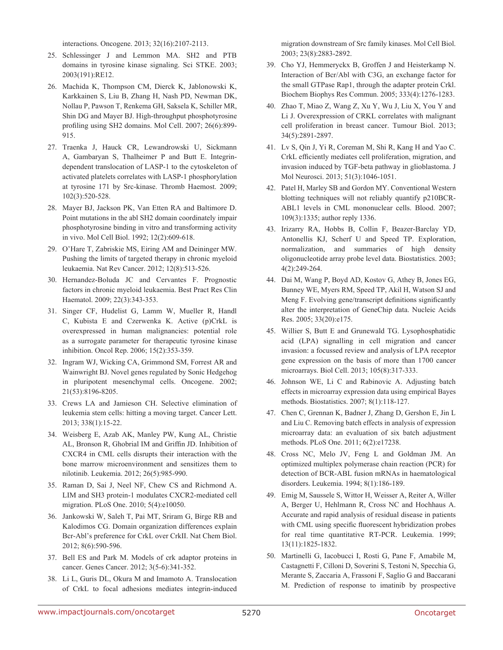interactions. Oncogene. 2013; 32(16):2107-2113.

- 25. Schlessinger J and Lemmon MA. SH2 and PTB domains in tyrosine kinase signaling. Sci STKE. 2003; 2003(191):RE12.
- 26. Machida K, Thompson CM, Dierck K, Jablonowski K, Karkkainen S, Liu B, Zhang H, Nash PD, Newman DK, Nollau P, Pawson T, Renkema GH, Saksela K, Schiller MR, Shin DG and Mayer BJ. High-throughput phosphotyrosine profiling using SH2 domains. Mol Cell. 2007; 26(6):899-915.
- 27. Traenka J, Hauck CR, Lewandrowski U, Sickmann A, Gambaryan S, Thalheimer P and Butt E. Integrindependent translocation of LASP-1 to the cytoskeleton of activated platelets correlates with LASP-1 phosphorylation at tyrosine 171 by Src-kinase. Thromb Haemost. 2009; 102(3):520-528.
- 28. Mayer BJ, Jackson PK, Van Etten RA and Baltimore D. Point mutations in the abl SH2 domain coordinately impair phosphotyrosine binding in vitro and transforming activity in vivo. Mol Cell Biol. 1992; 12(2):609-618.
- 29. O'Hare T, Zabriskie MS, Eiring AM and Deininger MW. Pushing the limits of targeted therapy in chronic myeloid leukaemia. Nat Rev Cancer. 2012; 12(8):513-526.
- 30. Hernandez-Boluda JC and Cervantes F. Prognostic factors in chronic myeloid leukaemia. Best Pract Res Clin Haematol. 2009; 22(3):343-353.
- 31. Singer CF, Hudelist G, Lamm W, Mueller R, Handl C, Kubista E and Czerwenka K. Active (p)CrkL is overexpressed in human malignancies: potential role as a surrogate parameter for therapeutic tyrosine kinase inhibition. Oncol Rep. 2006; 15(2):353-359.
- 32. Ingram WJ, Wicking CA, Grimmond SM, Forrest AR and Wainwright BJ. Novel genes regulated by Sonic Hedgehog in pluripotent mesenchymal cells. Oncogene. 2002; 21(53):8196-8205.
- 33. Crews LA and Jamieson CH. Selective elimination of leukemia stem cells: hitting a moving target. Cancer Lett. 2013; 338(1):15-22.
- 34. Weisberg E, Azab AK, Manley PW, Kung AL, Christie AL, Bronson R, Ghobrial IM and Griffin JD. Inhibition of CXCR4 in CML cells disrupts their interaction with the bone marrow microenvironment and sensitizes them to nilotinib. Leukemia. 2012; 26(5):985-990.
- 35. Raman D, Sai J, Neel NF, Chew CS and Richmond A. LIM and SH3 protein-1 modulates CXCR2-mediated cell migration. PLoS One. 2010; 5(4):e10050.
- 36. Jankowski W, Saleh T, Pai MT, Sriram G, Birge RB and Kalodimos CG. Domain organization differences explain Bcr-Abl's preference for CrkL over CrkII. Nat Chem Biol. 2012; 8(6):590-596.
- 37. Bell ES and Park M. Models of crk adaptor proteins in cancer. Genes Cancer. 2012; 3(5-6):341-352.
- 38. Li L, Guris DL, Okura M and Imamoto A. Translocation of CrkL to focal adhesions mediates integrin-induced

migration downstream of Src family kinases. Mol Cell Biol. 2003; 23(8):2883-2892.

- 39. Cho YJ, Hemmeryckx B, Groffen J and Heisterkamp N. Interaction of Bcr/Abl with C3G, an exchange factor for the small GTPase Rap1, through the adapter protein Crkl. Biochem Biophys Res Commun. 2005; 333(4):1276-1283.
- 40. Zhao T, Miao Z, Wang Z, Xu Y, Wu J, Liu X, You Y and Li J. Overexpression of CRKL correlates with malignant cell proliferation in breast cancer. Tumour Biol. 2013; 34(5):2891-2897.
- 41. Lv S, Qin J, Yi R, Coreman M, Shi R, Kang H and Yao C. CrkL efficiently mediates cell proliferation, migration, and invasion induced by TGF-beta pathway in glioblastoma. J Mol Neurosci. 2013; 51(3):1046-1051.
- 42. Patel H, Marley SB and Gordon MY. Conventional Western blotting techniques will not reliably quantify p210BCR-ABL1 levels in CML mononuclear cells. Blood. 2007; 109(3):1335; author reply 1336.
- 43. Irizarry RA, Hobbs B, Collin F, Beazer-Barclay YD, Antonellis KJ, Scherf U and Speed TP. Exploration, normalization, and summaries of high density oligonucleotide array probe level data. Biostatistics. 2003; 4(2):249-264.
- 44. Dai M, Wang P, Boyd AD, Kostov G, Athey B, Jones EG, Bunney WE, Myers RM, Speed TP, Akil H, Watson SJ and Meng F. Evolving gene/transcript definitions significantly alter the interpretation of GeneChip data. Nucleic Acids Res. 2005; 33(20):e175.
- 45. Willier S, Butt E and Grunewald TG. Lysophosphatidic acid (LPA) signalling in cell migration and cancer invasion: a focussed review and analysis of LPA receptor gene expression on the basis of more than 1700 cancer microarrays. Biol Cell. 2013; 105(8):317-333.
- 46. Johnson WE, Li C and Rabinovic A. Adjusting batch effects in microarray expression data using empirical Bayes methods. Biostatistics. 2007; 8(1):118-127.
- 47. Chen C, Grennan K, Badner J, Zhang D, Gershon E, Jin L and Liu C. Removing batch effects in analysis of expression microarray data: an evaluation of six batch adjustment methods. PLoS One. 2011; 6(2):e17238.
- 48. Cross NC, Melo JV, Feng L and Goldman JM. An optimized multiplex polymerase chain reaction (PCR) for detection of BCR-ABL fusion mRNAs in haematological disorders. Leukemia. 1994; 8(1):186-189.
- 49. Emig M, Saussele S, Wittor H, Weisser A, Reiter A, Willer A, Berger U, Hehlmann R, Cross NC and Hochhaus A. Accurate and rapid analysis of residual disease in patients with CML using specific fluorescent hybridization probes for real time quantitative RT-PCR. Leukemia. 1999; 13(11):1825-1832.
- 50. Martinelli G, Iacobucci I, Rosti G, Pane F, Amabile M, Castagnetti F, Cilloni D, Soverini S, Testoni N, Specchia G, Merante S, Zaccaria A, Frassoni F, Saglio G and Baccarani M. Prediction of response to imatinib by prospective